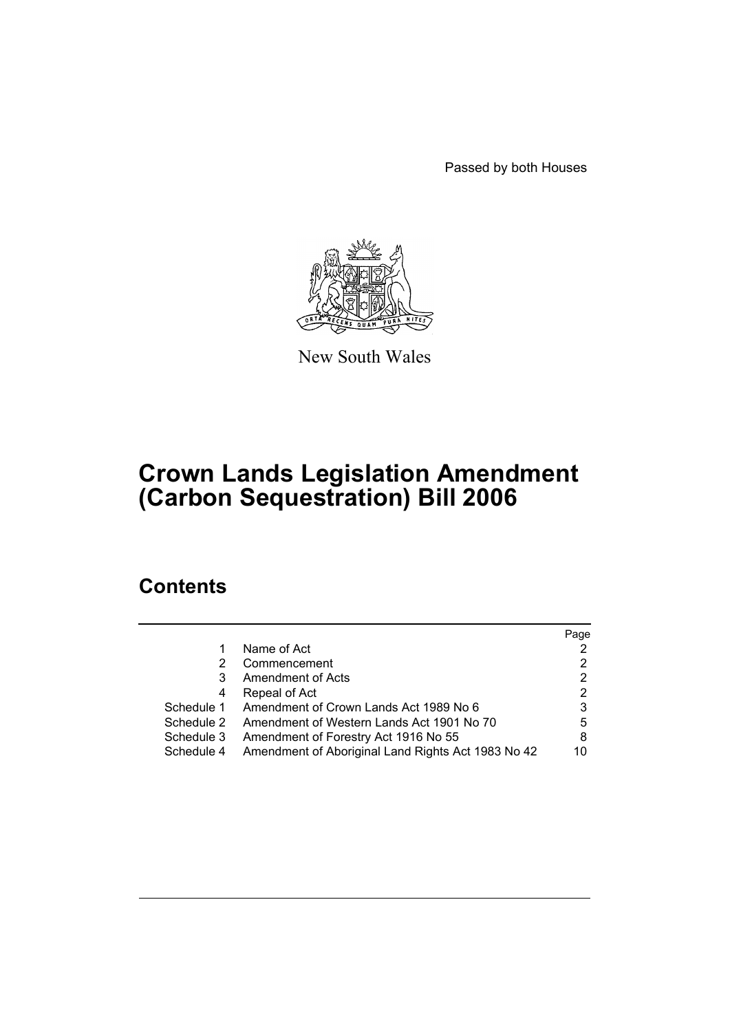Passed by both Houses



New South Wales

# **Crown Lands Legislation Amendment (Carbon Sequestration) Bill 2006**

# **Contents**

|            |                                                    | Page |
|------------|----------------------------------------------------|------|
|            | Name of Act                                        |      |
| 2          | Commencement                                       | 2    |
| 3          | <b>Amendment of Acts</b>                           | 2    |
| 4          | Repeal of Act                                      | 2    |
| Schedule 1 | Amendment of Crown Lands Act 1989 No 6             | 3    |
| Schedule 2 | Amendment of Western Lands Act 1901 No 70          | 5    |
| Schedule 3 | Amendment of Forestry Act 1916 No 55               | 8    |
| Schedule 4 | Amendment of Aboriginal Land Rights Act 1983 No 42 | 10   |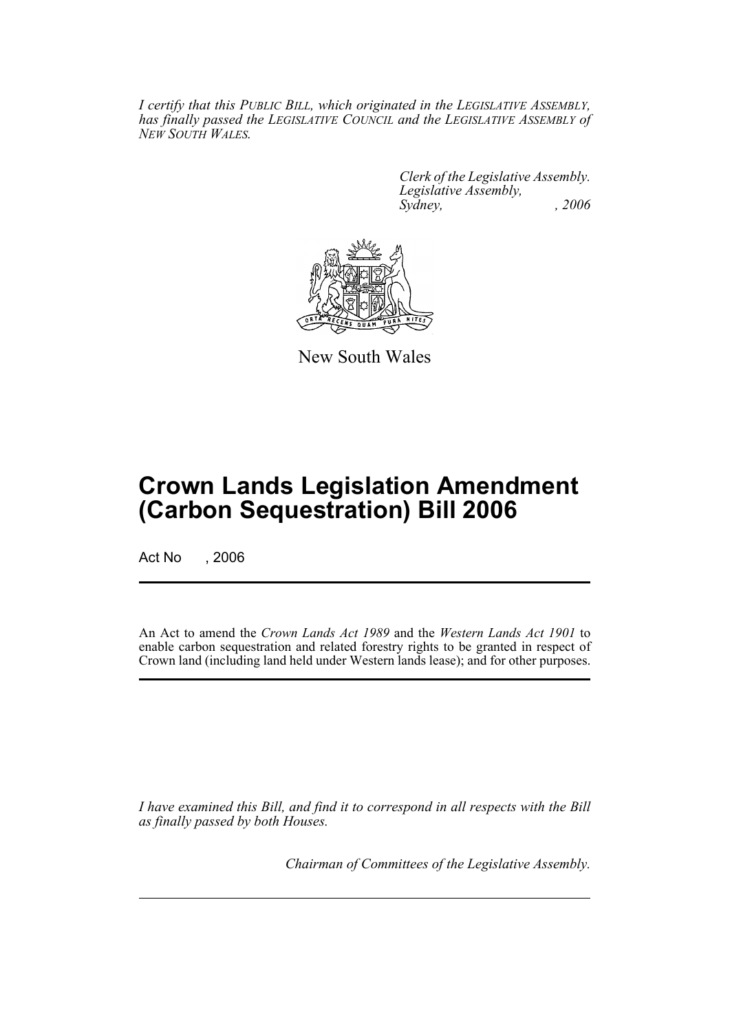*I certify that this PUBLIC BILL, which originated in the LEGISLATIVE ASSEMBLY, has finally passed the LEGISLATIVE COUNCIL and the LEGISLATIVE ASSEMBLY of NEW SOUTH WALES.*

> *Clerk of the Legislative Assembly. Legislative Assembly, Sydney, , 2006*



New South Wales

# **Crown Lands Legislation Amendment (Carbon Sequestration) Bill 2006**

Act No . 2006

An Act to amend the *Crown Lands Act 1989* and the *Western Lands Act 1901* to enable carbon sequestration and related forestry rights to be granted in respect of Crown land (including land held under Western lands lease); and for other purposes.

*I have examined this Bill, and find it to correspond in all respects with the Bill as finally passed by both Houses.*

*Chairman of Committees of the Legislative Assembly.*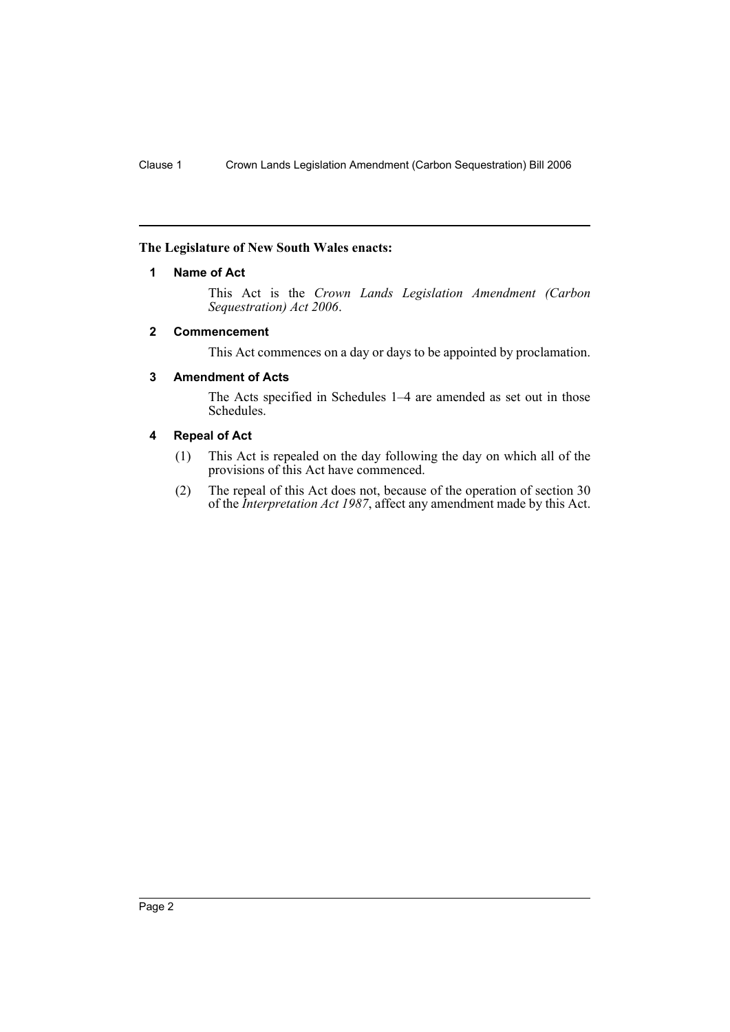## **The Legislature of New South Wales enacts:**

## **1 Name of Act**

This Act is the *Crown Lands Legislation Amendment (Carbon Sequestration) Act 2006*.

## **2 Commencement**

This Act commences on a day or days to be appointed by proclamation.

## **3 Amendment of Acts**

The Acts specified in Schedules 1–4 are amended as set out in those Schedules.

# **4 Repeal of Act**

- (1) This Act is repealed on the day following the day on which all of the provisions of this Act have commenced.
- (2) The repeal of this Act does not, because of the operation of section 30 of the *Interpretation Act 1987*, affect any amendment made by this Act.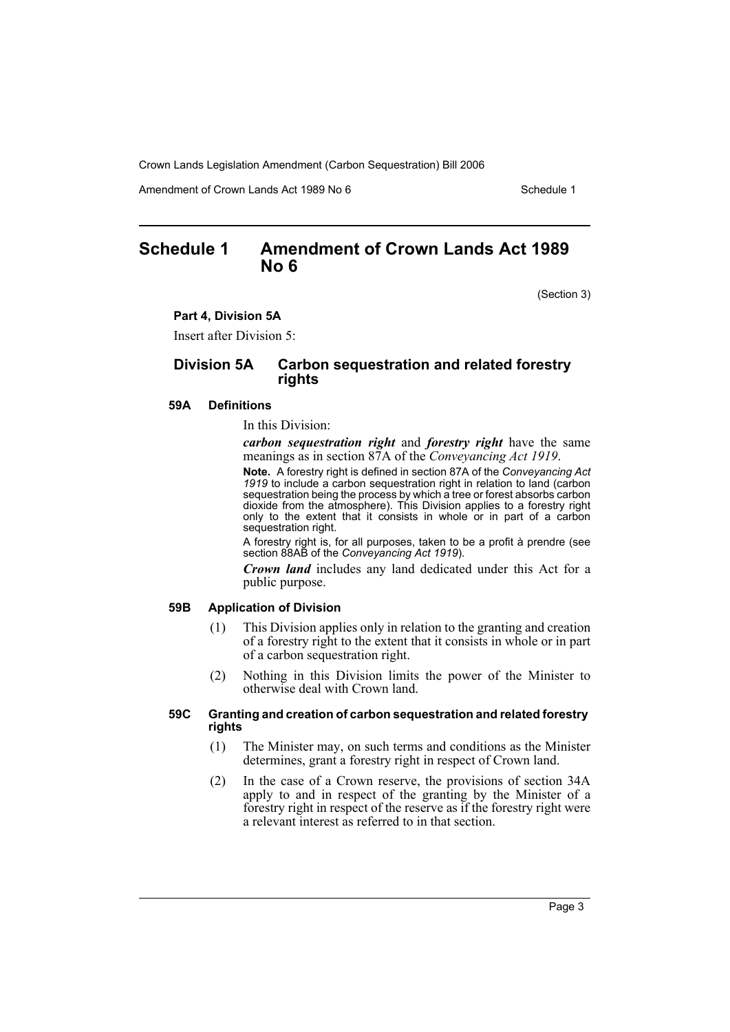Amendment of Crown Lands Act 1989 No 6 Schedule 1

# **Schedule 1 Amendment of Crown Lands Act 1989 No 6**

(Section 3)

#### **Part 4, Division 5A**

Insert after Division 5:

## **Division 5A Carbon sequestration and related forestry rights**

#### **59A Definitions**

In this Division:

*carbon sequestration right* and *forestry right* have the same meanings as in section 87A of the *Conveyancing Act 1919*.

**Note.** A forestry right is defined in section 87A of the *Conveyancing Act 1919* to include a carbon sequestration right in relation to land (carbon sequestration being the process by which a tree or forest absorbs carbon dioxide from the atmosphere). This Division applies to a forestry right only to the extent that it consists in whole or in part of a carbon sequestration right.

A forestry right is, for all purposes, taken to be a profit à prendre (see section 88AB of the *Conveyancing Act 1919*).

*Crown land* includes any land dedicated under this Act for a public purpose.

#### **59B Application of Division**

- (1) This Division applies only in relation to the granting and creation of a forestry right to the extent that it consists in whole or in part of a carbon sequestration right.
- (2) Nothing in this Division limits the power of the Minister to otherwise deal with Crown land.

#### **59C Granting and creation of carbon sequestration and related forestry rights**

- (1) The Minister may, on such terms and conditions as the Minister determines, grant a forestry right in respect of Crown land.
- (2) In the case of a Crown reserve, the provisions of section 34A apply to and in respect of the granting by the Minister of a forestry right in respect of the reserve as if the forestry right were a relevant interest as referred to in that section.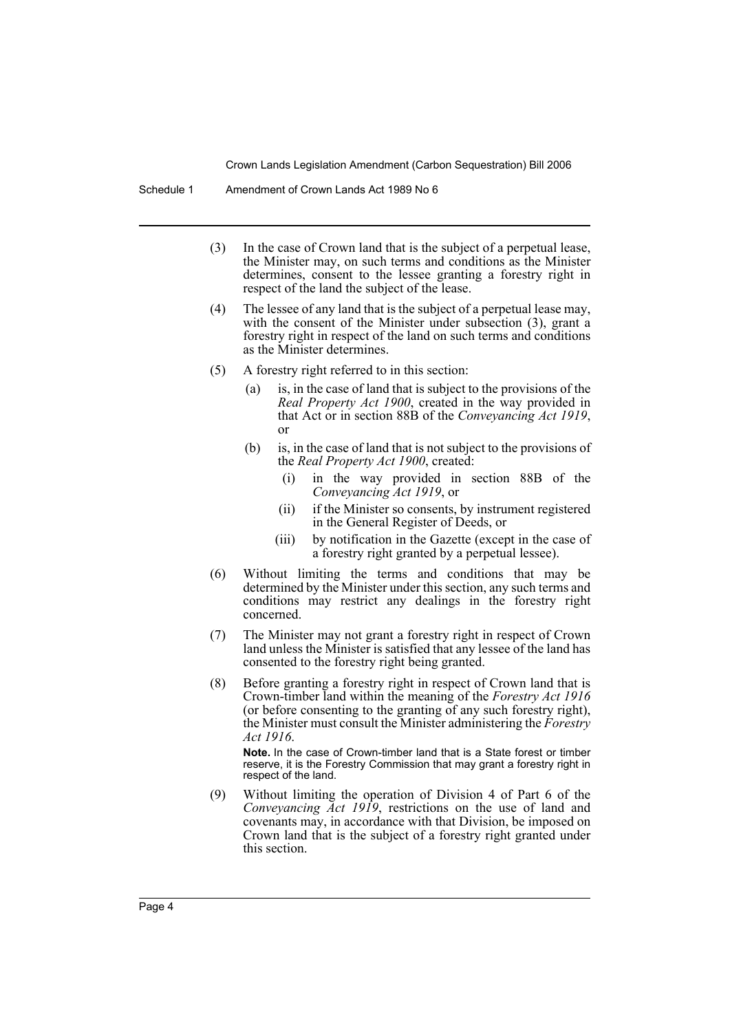- (3) In the case of Crown land that is the subject of a perpetual lease, the Minister may, on such terms and conditions as the Minister determines, consent to the lessee granting a forestry right in respect of the land the subject of the lease.
- (4) The lessee of any land that is the subject of a perpetual lease may, with the consent of the Minister under subsection (3), grant a forestry right in respect of the land on such terms and conditions as the Minister determines.
- (5) A forestry right referred to in this section:
	- (a) is, in the case of land that is subject to the provisions of the *Real Property Act 1900*, created in the way provided in that Act or in section 88B of the *Conveyancing Act 1919*, or
	- (b) is, in the case of land that is not subject to the provisions of the *Real Property Act 1900*, created:
		- (i) in the way provided in section 88B of the *Conveyancing Act 1919*, or
		- (ii) if the Minister so consents, by instrument registered in the General Register of Deeds, or
		- (iii) by notification in the Gazette (except in the case of a forestry right granted by a perpetual lessee).
- (6) Without limiting the terms and conditions that may be determined by the Minister under this section, any such terms and conditions may restrict any dealings in the forestry right concerned.
- (7) The Minister may not grant a forestry right in respect of Crown land unless the Minister is satisfied that any lessee of the land has consented to the forestry right being granted.
- (8) Before granting a forestry right in respect of Crown land that is Crown-timber land within the meaning of the *Forestry Act 1916* (or before consenting to the granting of any such forestry right), the Minister must consult the Minister administering the *Forestry Act 1916*.

**Note.** In the case of Crown-timber land that is a State forest or timber reserve, it is the Forestry Commission that may grant a forestry right in respect of the land.

(9) Without limiting the operation of Division 4 of Part 6 of the *Conveyancing Act 1919*, restrictions on the use of land and covenants may, in accordance with that Division, be imposed on Crown land that is the subject of a forestry right granted under this section.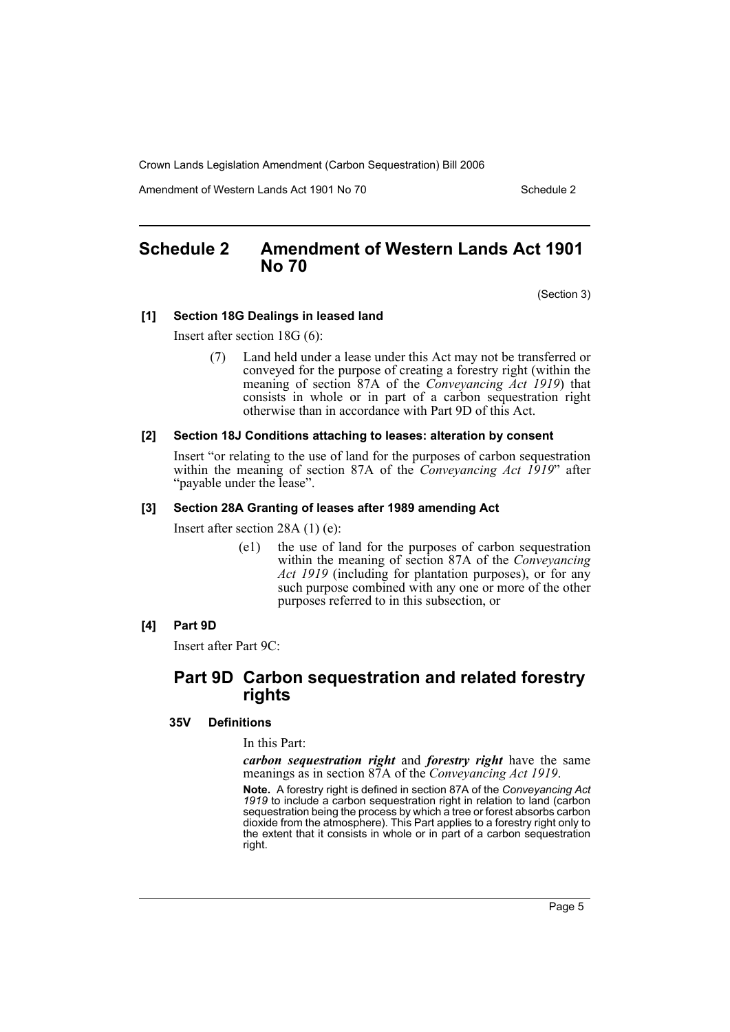Amendment of Western Lands Act 1901 No 70 Schedule 2

# **Schedule 2 Amendment of Western Lands Act 1901 No 70**

(Section 3)

#### **[1] Section 18G Dealings in leased land**

Insert after section 18G (6):

(7) Land held under a lease under this Act may not be transferred or conveyed for the purpose of creating a forestry right (within the meaning of section 87A of the *Conveyancing Act 1919*) that consists in whole or in part of a carbon sequestration right otherwise than in accordance with Part 9D of this Act.

#### **[2] Section 18J Conditions attaching to leases: alteration by consent**

Insert "or relating to the use of land for the purposes of carbon sequestration within the meaning of section 87A of the *Conveyancing Act 1919*" after "payable under the lease".

#### **[3] Section 28A Granting of leases after 1989 amending Act**

Insert after section 28A (1) (e):

(e1) the use of land for the purposes of carbon sequestration within the meaning of section 87A of the *Conveyancing Act 1919* (including for plantation purposes), or for any such purpose combined with any one or more of the other purposes referred to in this subsection, or

### **[4] Part 9D**

Insert after Part 9C:

# **Part 9D Carbon sequestration and related forestry rights**

#### **35V Definitions**

In this Part:

*carbon sequestration right* and *forestry right* have the same meanings as in section 87A of the *Conveyancing Act 1919*.

**Note.** A forestry right is defined in section 87A of the *Conveyancing Act 1919* to include a carbon sequestration right in relation to land (carbon sequestration being the process by which a tree or forest absorbs carbon dioxide from the atmosphere). This Part applies to a forestry right only to the extent that it consists in whole or in part of a carbon sequestration right.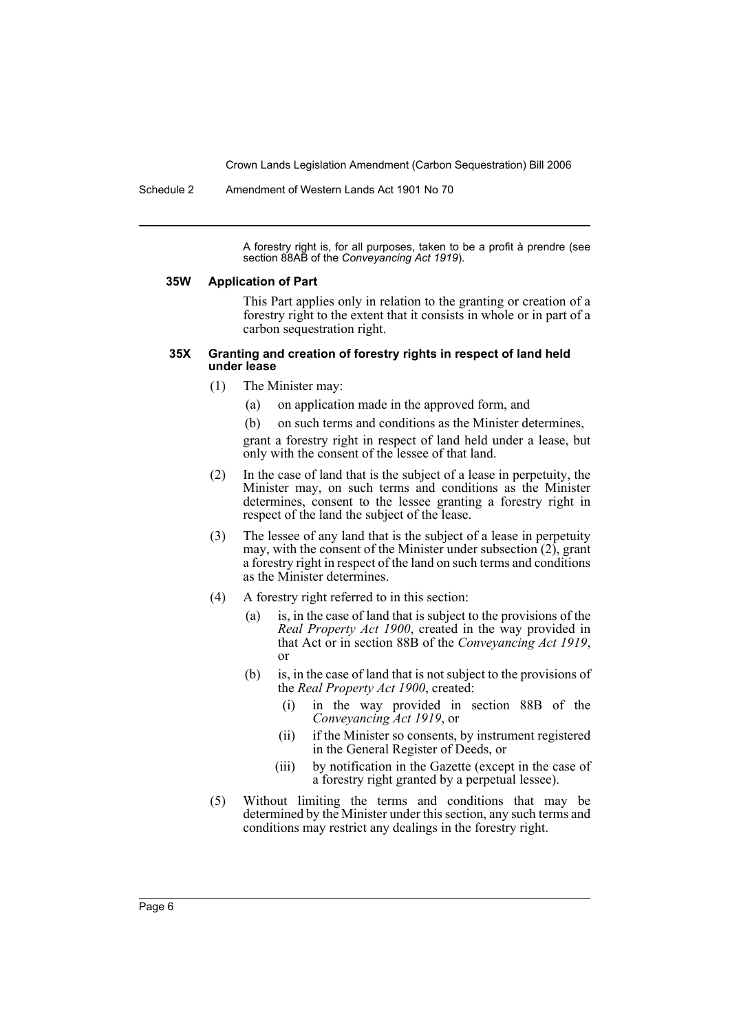Schedule 2 Amendment of Western Lands Act 1901 No 70

A forestry right is, for all purposes, taken to be a profit à prendre (see section 88AB of the *Conveyancing Act 1919*).

#### **35W Application of Part**

This Part applies only in relation to the granting or creation of a forestry right to the extent that it consists in whole or in part of a carbon sequestration right.

#### **35X Granting and creation of forestry rights in respect of land held under lease**

- (1) The Minister may:
	- (a) on application made in the approved form, and
	- (b) on such terms and conditions as the Minister determines,

grant a forestry right in respect of land held under a lease, but only with the consent of the lessee of that land.

- (2) In the case of land that is the subject of a lease in perpetuity, the Minister may, on such terms and conditions as the Minister determines, consent to the lessee granting a forestry right in respect of the land the subject of the lease.
- (3) The lessee of any land that is the subject of a lease in perpetuity may, with the consent of the Minister under subsection  $(2)$ , grant a forestry right in respect of the land on such terms and conditions as the Minister determines.
- (4) A forestry right referred to in this section:
	- (a) is, in the case of land that is subject to the provisions of the *Real Property Act 1900*, created in the way provided in that Act or in section 88B of the *Conveyancing Act 1919*, or
	- (b) is, in the case of land that is not subject to the provisions of the *Real Property Act 1900*, created:
		- (i) in the way provided in section 88B of the *Conveyancing Act 1919*, or
		- (ii) if the Minister so consents, by instrument registered in the General Register of Deeds, or
		- (iii) by notification in the Gazette (except in the case of a forestry right granted by a perpetual lessee).
- (5) Without limiting the terms and conditions that may be determined by the Minister under this section, any such terms and conditions may restrict any dealings in the forestry right.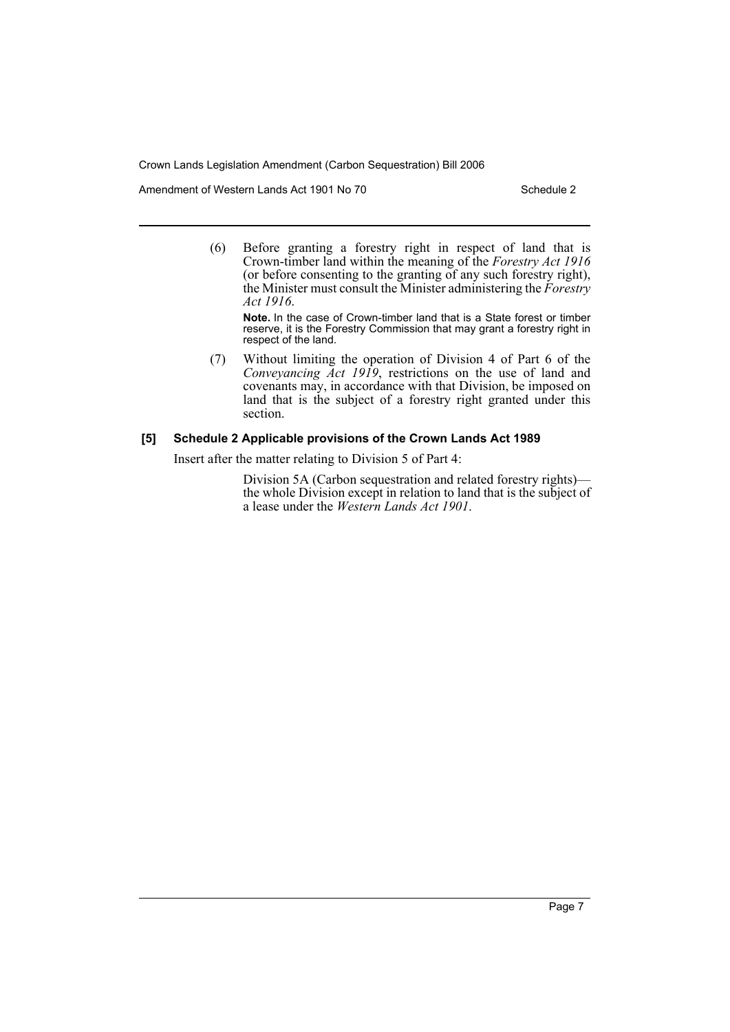Amendment of Western Lands Act 1901 No 70 Schedule 2

(6) Before granting a forestry right in respect of land that is Crown-timber land within the meaning of the *Forestry Act 1916* (or before consenting to the granting of any such forestry right), the Minister must consult the Minister administering the *Forestry Act 1916*.

**Note.** In the case of Crown-timber land that is a State forest or timber reserve, it is the Forestry Commission that may grant a forestry right in respect of the land.

(7) Without limiting the operation of Division 4 of Part 6 of the *Conveyancing Act 1919*, restrictions on the use of land and covenants may, in accordance with that Division, be imposed on land that is the subject of a forestry right granted under this section.

# **[5] Schedule 2 Applicable provisions of the Crown Lands Act 1989**

Insert after the matter relating to Division 5 of Part 4:

Division 5A (Carbon sequestration and related forestry rights) the whole Division except in relation to land that is the subject of a lease under the *Western Lands Act 1901*.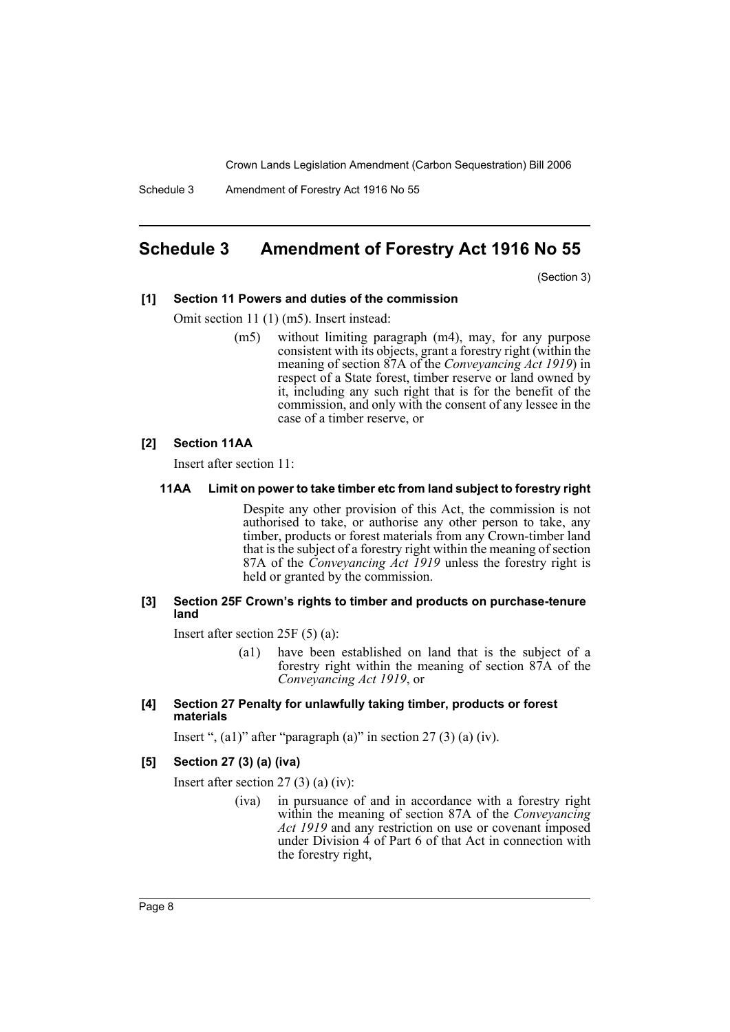Schedule 3 Amendment of Forestry Act 1916 No 55

# **Schedule 3 Amendment of Forestry Act 1916 No 55**

(Section 3)

#### **[1] Section 11 Powers and duties of the commission**

Omit section 11 (1) (m5). Insert instead:

(m5) without limiting paragraph (m4), may, for any purpose consistent with its objects, grant a forestry right (within the meaning of section 87A of the *Conveyancing Act 1919*) in respect of a State forest, timber reserve or land owned by it, including any such right that is for the benefit of the commission, and only with the consent of any lessee in the case of a timber reserve, or

#### **[2] Section 11AA**

Insert after section 11:

#### **11AA Limit on power to take timber etc from land subject to forestry right**

Despite any other provision of this Act, the commission is not authorised to take, or authorise any other person to take, any timber, products or forest materials from any Crown-timber land that is the subject of a forestry right within the meaning of section 87A of the *Conveyancing Act 1919* unless the forestry right is held or granted by the commission.

#### **[3] Section 25F Crown's rights to timber and products on purchase-tenure land**

Insert after section 25F (5) (a):

- (a1) have been established on land that is the subject of a forestry right within the meaning of section 87A of the *Conveyancing Act 1919*, or
- **[4] Section 27 Penalty for unlawfully taking timber, products or forest materials**

Insert ",  $(a1)$ " after "paragraph  $(a)$ " in section 27  $(3)$   $(a)$   $(iv)$ .

#### **[5] Section 27 (3) (a) (iva)**

Insert after section 27 (3) (a) (iv):

(iva) in pursuance of and in accordance with a forestry right within the meaning of section 87A of the *Conveyancing Act 1919* and any restriction on use or covenant imposed under Division 4 of Part 6 of that Act in connection with the forestry right,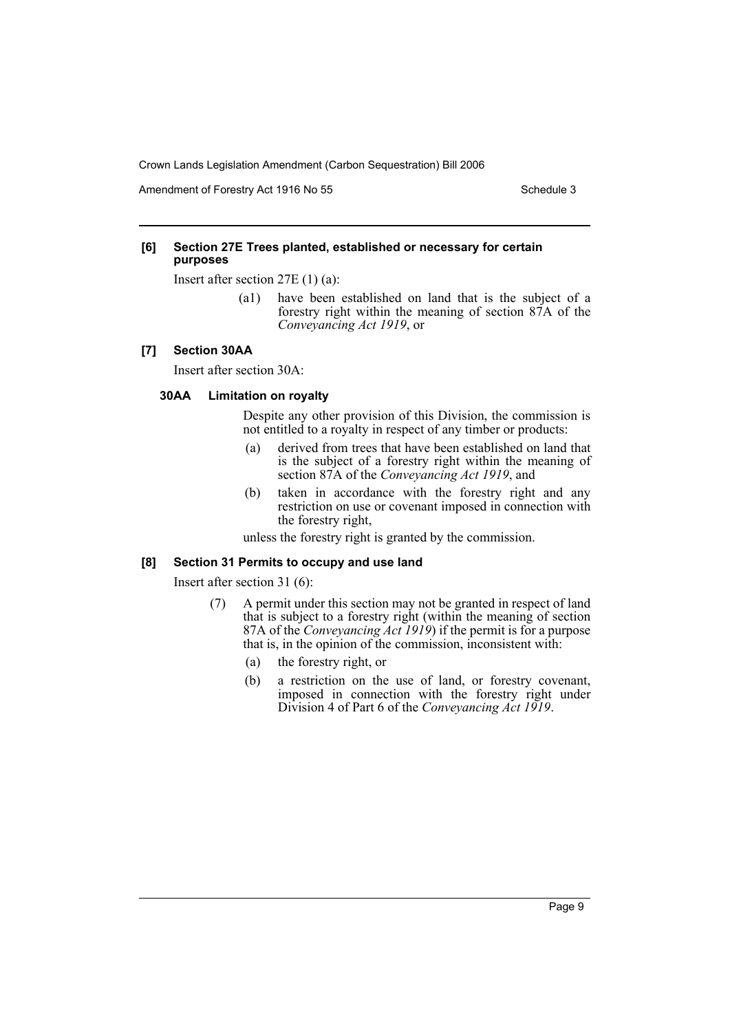Amendment of Forestry Act 1916 No 55 Schedule 3 Schedule 3

#### **[6] Section 27E Trees planted, established or necessary for certain purposes**

Insert after section 27E (1) (a):

(a1) have been established on land that is the subject of a forestry right within the meaning of section 87A of the *Conveyancing Act 1919*, or

# **[7] Section 30AA**

Insert after section 30A:

### **30AA Limitation on royalty**

Despite any other provision of this Division, the commission is not entitled to a royalty in respect of any timber or products:

- (a) derived from trees that have been established on land that is the subject of a forestry right within the meaning of section 87A of the *Conveyancing Act 1919*, and
- (b) taken in accordance with the forestry right and any restriction on use or covenant imposed in connection with the forestry right,

unless the forestry right is granted by the commission.

#### **[8] Section 31 Permits to occupy and use land**

Insert after section 31 (6):

- (7) A permit under this section may not be granted in respect of land that is subject to a forestry right (within the meaning of section 87A of the *Conveyancing Act 1919*) if the permit is for a purpose that is, in the opinion of the commission, inconsistent with:
	- (a) the forestry right, or
	- (b) a restriction on the use of land, or forestry covenant, imposed in connection with the forestry right under Division 4 of Part 6 of the *Conveyancing Act 1919*.